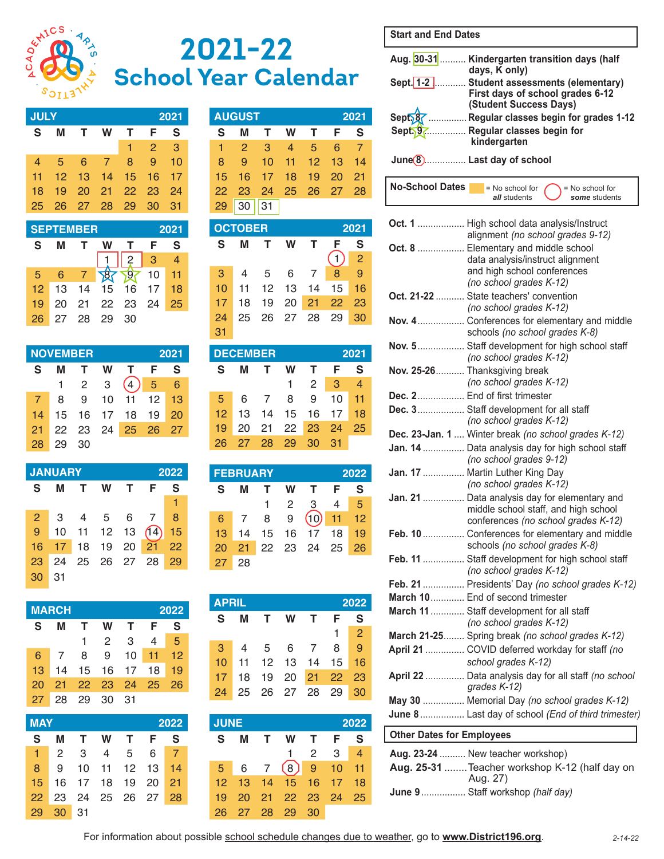

# 2021-22 **School Year Calendar**

| <b>JULY</b> |    |    |    | 2021            |               |    |
|-------------|----|----|----|-----------------|---------------|----|
| S           | М  | T. | W  | т               | F             | S  |
|             |    |    |    | 1               | $\mathcal{P}$ | 3  |
| 4           | 5  | 6  | 7  | 8               | 9             | 10 |
| 11          | 12 | 13 | 14 | 15 <sup>2</sup> | 16            | 17 |
| 18          | 19 | 20 | 21 | 22              | 23            | 24 |
| 25          | 26 | 27 | 28 | 29              | 30            | 31 |
|             |    |    |    |                 |               |    |

| <b>SEPTEMBER</b><br>2021 |    |      |             |         |                |     |  |  |  |
|--------------------------|----|------|-------------|---------|----------------|-----|--|--|--|
| S                        |    |      | w           |         | F              | S   |  |  |  |
|                          |    |      |             |         | 3 <sup>1</sup> |     |  |  |  |
| 5                        | 6  |      |             | 97      | 10             | 11  |  |  |  |
| 12 <sup>2</sup>          | 13 | 14   | 15          | $16$ 17 |                | 18  |  |  |  |
| 19                       | 20 |      | 21 22 23 24 |         |                | -25 |  |  |  |
| 26                       | 27 | - 28 | 29          | 30      |                |     |  |  |  |

|    | <b>NOVEMBER</b> |                |              |                   |                |          |  |  |
|----|-----------------|----------------|--------------|-------------------|----------------|----------|--|--|
| S  | м               | т.             | W            | T.                | F.             | <b>S</b> |  |  |
|    | 1               | $\overline{2}$ | $\mathbf{3}$ | 4                 | 5 <sub>6</sub> |          |  |  |
| 7  | 8               | 9              |              | 10 11 12 13       |                |          |  |  |
| 14 |                 |                |              | 15 16 17 18 19 20 |                |          |  |  |
| 21 |                 |                |              | 22 23 24 25 26 27 |                |          |  |  |
| 28 | 29              | 30             |              |                   |                |          |  |  |

|                | <b>JANUARY</b> |              |             | 2022         |                      |             |
|----------------|----------------|--------------|-------------|--------------|----------------------|-------------|
| S              | м              | $\mathbf{T}$ | <b>W</b>    | $\mathbf{T}$ | - F                  | S           |
|                |                |              |             |              |                      | 4           |
| $\overline{2}$ | $\mathcal{S}$  |              |             |              | 4 5 6 7              | - 8         |
| 9              |                |              | 10 11 12 13 |              | (14)                 | $\sqrt{15}$ |
|                |                |              |             |              | 16 17 18 19 20 21 22 |             |
| 23             | 24             |              |             |              | 25  26  27  28  29   |             |
| 30             | 31             |              |             |              |                      |             |

| <b>MARCH</b><br>2022 |    |    |      |                   |         |                  |  |  |
|----------------------|----|----|------|-------------------|---------|------------------|--|--|
| S                    | м  | T. | W    | Τ.                | - F     | S                |  |  |
|                      |    | 1  | 2    | -3                |         | $4 \overline{5}$ |  |  |
| 6.                   |    | 8  | 9    | 10 <sup>1</sup>   | $11 12$ |                  |  |  |
| 13                   |    |    |      | 14 15 16 17 18 19 |         |                  |  |  |
| 20                   |    |    |      | 21 22 23 24 25 26 |         |                  |  |  |
| 27                   | 28 | 29 | - 30 | - 31              |         |                  |  |  |

| 2022<br>MAY |                |  |                      |  |  |  |  |  |
|-------------|----------------|--|----------------------|--|--|--|--|--|
| S           |                |  | M T W T F S          |  |  |  |  |  |
| 1.          | $\overline{2}$ |  | 3 4 5 6 7            |  |  |  |  |  |
| 8           |                |  | 9 10 11 12 13 14     |  |  |  |  |  |
|             |                |  | 15 16 17 18 19 20 21 |  |  |  |  |  |
|             |                |  | 22 23 24 25 26 27 28 |  |  |  |  |  |
|             | 29 30 31       |  |                      |  |  |  |  |  |

|    | <b>AUGUST</b> |                |                | 2021                  |     |      |  |  |
|----|---------------|----------------|----------------|-----------------------|-----|------|--|--|
| S  | м             | т.             | w              | $\mathbf{T}$          | - F | S    |  |  |
|    | -2            | - 3            | $\overline{4}$ | $\overline{\bullet}5$ | 6   | - 7  |  |  |
| 8  | 9             | 10             |                | 11 12 13 14           |     |      |  |  |
| 15 |               | 16 17 18 19 20 |                |                       |     | - 21 |  |  |
| 22 | - 23          | 24 25 26 27 28 |                |                       |     |      |  |  |
| 29 | 30            | 31             |                |                       |     |      |  |  |

|                | <b>OCTOBER</b> |              |                |   | 2021              |                |
|----------------|----------------|--------------|----------------|---|-------------------|----------------|
| S              | м              | $\mathbf{T}$ | W              | т | F                 | S              |
|                |                |              |                |   | (1)               | $\overline{2}$ |
| 3 <sup>1</sup> |                |              | 4 5 6 7        |   | -8                | 9              |
| 10             |                |              | 11  12  13  14 |   | 15 16             |                |
| 17             | 18             |              |                |   | 19 20 21 22 23    |                |
| 24             |                |              |                |   | 25 26 27 28 29 30 |                |
| 31             |                |              |                |   |                   |                |

|  | <b>DECEMBER</b> |                      | 2021                        |  |  |
|--|-----------------|----------------------|-----------------------------|--|--|
|  |                 | S M T W T F S        |                             |  |  |
|  |                 |                      | $1 \quad 2 \quad 3 \quad 4$ |  |  |
|  |                 | 5 6 7 8 9 10 11      |                             |  |  |
|  |                 | 12 13 14 15 16 17 18 |                             |  |  |
|  |                 | 19 20 21 22 23 24 25 |                             |  |  |
|  |                 | 26 27 28 29 30 31    |                             |  |  |

| <b>FEBRUARY</b> | 2022 |    |                             |     |
|-----------------|------|----|-----------------------------|-----|
| $\mathbf{s}$    | M    | T  | W T F                       | - S |
|                 |      | 1. | $2 \quad 3 \quad 4 \quad 5$ |     |
| 6               |      |    | 7 8 9 10 11 12              |     |
|                 |      |    | 13 14 15 16 17 18 19        |     |
|                 |      |    | 20 21 22 23 24 25 26        |     |
|                 | - 28 |    |                             |     |

|                | <b>APRIL</b><br>2022 |                 |                 |                |                |                |  |  |  |  |
|----------------|----------------------|-----------------|-----------------|----------------|----------------|----------------|--|--|--|--|
| S              | м                    | Т.              | W               | $\mathbf{T}$   | F              | S              |  |  |  |  |
|                |                      |                 |                 |                | 1              | $\overline{2}$ |  |  |  |  |
| 3 <sup>1</sup> | 4                    | $5\overline{)}$ | $6\overline{6}$ | $\overline{7}$ | 8              | 9              |  |  |  |  |
| 10             | 11                   |                 |                 |                | 12 13 14 15 16 |                |  |  |  |  |
| 17             | 18                   | 19              |                 |                | 20 21 22 23    |                |  |  |  |  |
| 24             | 25                   |                 | 26 27 28        |                | 29             | 30             |  |  |  |  |

| JUNE           |    |                |                 | 2022     |    |                          |  |
|----------------|----|----------------|-----------------|----------|----|--------------------------|--|
| S              |    |                | w               | т        | F  | S                        |  |
|                |    |                |                 | 2        | 3  | $\overline{\mathcal{A}}$ |  |
| 5 <sup>1</sup> | 6  | $\overline{7}$ | 8               | $9 \t10$ |    | $-11$                    |  |
| 12             | 13 | 14             | 15 <sup>2</sup> | 16       | 17 | 18                       |  |
| 19             | 20 |                | 21 22 23        |          | 24 | - 25                     |  |
|                | 27 | 28             | 29              | 30       |    |                          |  |

## **Start and End Dates**

No-School Dates

| Aug. 30-31 | Kindergarten transition days (half<br>days, K only)                                                   |
|------------|-------------------------------------------------------------------------------------------------------|
| Sept. 1-2. | <b>Student assessments (elementary)</b><br>First days of school grades 6-12<br>(Student Success Days) |
| Sept. 8    | Regular classes begin for grades 1-12                                                                 |
| Sept. 97   | Regular classes begin for<br>kindergarten                                                             |
|            | June (8) Last day of school                                                                           |

 $=$  No school for

all students

= No school for

some students

|                                  | Oct. 1  High school data analysis/Instruct                                                         |  |
|----------------------------------|----------------------------------------------------------------------------------------------------|--|
|                                  | alignment (no school grades 9-12)                                                                  |  |
|                                  | Oct. 8  Elementary and middle school<br>data analysis/instruct alignment                           |  |
|                                  | and high school conferences                                                                        |  |
|                                  | (no school grades K-12)                                                                            |  |
|                                  | Oct. 21-22  State teachers' convention                                                             |  |
|                                  | (no school grades K-12)                                                                            |  |
|                                  | Nov. 4 Conferences for elementary and middle                                                       |  |
|                                  | schools (no school grades K-8)                                                                     |  |
|                                  | Nov. 5 Staff development for high school staff                                                     |  |
|                                  | (no school grades K-12)                                                                            |  |
|                                  | Nov. 25-26 Thanksgiving break                                                                      |  |
|                                  | (no school grades K-12)                                                                            |  |
|                                  | Dec. 2 End of first trimester                                                                      |  |
|                                  | Dec. 3 Staff development for all staff                                                             |  |
|                                  | (no school grades K-12)                                                                            |  |
|                                  | Dec. 23-Jan. 1  Winter break (no school grades K-12)                                               |  |
|                                  | Jan. 14  Data analysis day for high school staff<br>(no school grades 9-12)                        |  |
|                                  | Jan. 17  Martin Luther King Day                                                                    |  |
|                                  | (no school grades K-12)                                                                            |  |
|                                  | Jan. 21  Data analysis day for elementary and                                                      |  |
|                                  | middle school staff, and high school                                                               |  |
|                                  | conferences (no school grades K-12)                                                                |  |
|                                  | Feb. 10  Conferences for elementary and middle                                                     |  |
|                                  | schools (no school grades K-8)                                                                     |  |
|                                  | Feb. 11  Staff development for high school staff                                                   |  |
|                                  | (no school grades K-12)                                                                            |  |
|                                  | Feb. 21  Presidents' Day (no school grades K-12)                                                   |  |
|                                  | March 10 End of second trimester                                                                   |  |
|                                  | March 11  Staff development for all staff                                                          |  |
|                                  | (no school grades K-12)                                                                            |  |
|                                  | March 21-25 Spring break (no school grades K-12)<br>April 21  COVID deferred workday for staff (no |  |
|                                  | school grades K-12)                                                                                |  |
|                                  | April 22  Data analysis day for all staff (no school                                               |  |
|                                  | grades K-12)                                                                                       |  |
|                                  | May 30  Memorial Day (no school grades K-12)                                                       |  |
|                                  | June 8  Last day of school (End of third trimester                                                 |  |
|                                  |                                                                                                    |  |
| <b>Other Dates for Employees</b> |                                                                                                    |  |
|                                  | Aug. 23-24  New teacher workshop)                                                                  |  |
|                                  | Aug. 25-31  Teacher workshop K-12 (half day on                                                     |  |
|                                  | Aug. 27)                                                                                           |  |

June 9 ................. Staff workshop (half day)